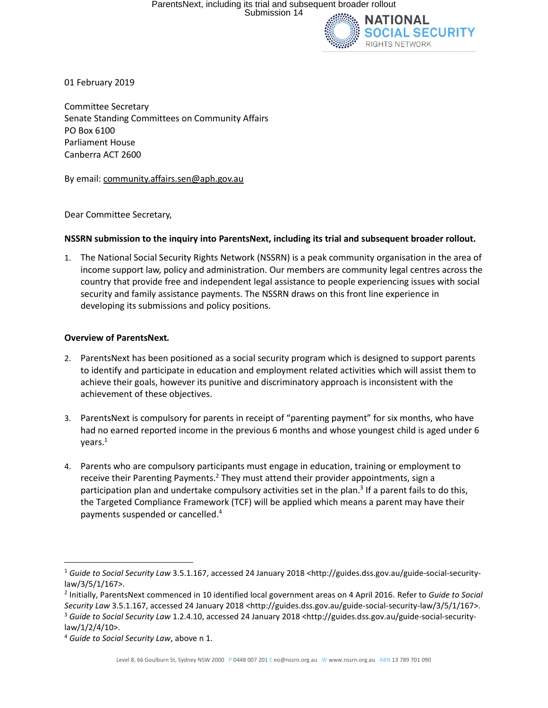

01 February 2019

Committee Secretary Senate Standing Committees on Community Affairs PO Box 6100 Parliament House Canberra ACT 2600

By email[: community.affairs.sen@aph.gov.au](mailto:community.affairs.sen@aph.gov.au)

Dear Committee Secretary,

#### **NSSRN submission to the inquiry into ParentsNext, including its trial and subsequent broader rollout.**

1. The National Social Security Rights Network (NSSRN) is a peak community organisation in the area of income support law, policy and administration. Our members are community legal centres across the country that provide free and independent legal assistance to people experiencing issues with social security and family assistance payments. The NSSRN draws on this front line experience in developing its submissions and policy positions.

#### **Overview of ParentsNext***.*

- 2. ParentsNext has been positioned as a social security program which is designed to support parents to identify and participate in education and employment related activities which will assist them to achieve their goals, however its punitive and discriminatory approach is inconsistent with the achievement of these objectives.
- 3. ParentsNext is compulsory for parents in receipt of "parenting payment" for six months, who have had no earned reported income in the previous 6 months and whose youngest child is aged under 6 years.<sup>1</sup>
- 4. Parents who are compulsory participants must engage in education, training or employment to receive their Parenting Payments.<sup>2</sup> They must attend their provider appointments, sign a participation plan and undertake compulsory activities set in the plan.<sup>3</sup> If a parent fails to do this, the Targeted Compliance Framework (TCF) will be applied which means a parent may have their payments suspended or cancelled. 4

<sup>1</sup> *Guide to Social Security Law* 3.5.1.167, accessed 24 January 2018 [<http://guides.dss.gov.au/guide-social-security](http://guides.dss.gov.au/guide-social-security-law/3/5/1/167)[law/3/5/1/167>](http://guides.dss.gov.au/guide-social-security-law/3/5/1/167).

<sup>2</sup> Initially, ParentsNext commenced in 10 identified local government areas on 4 April 2016. Refer to *Guide to Social* 

*Security Law* 3.5.1.167, accessed 24 January 2018 [<http://guides.dss.gov.au/guide-social-security-law/3/5/1/167>](http://guides.dss.gov.au/guide-social-security-law/3/5/1/167). <sup>3</sup> *Guide to Social Security Law* 1.2.4.10, accessed 24 January 2018 [<http://guides.dss.gov.au/guide-social-security](http://guides.dss.gov.au/guide-social-security-law/1/2/4/10)[law/1/2/4/10>](http://guides.dss.gov.au/guide-social-security-law/1/2/4/10).

<sup>4</sup> *Guide to Social Security Law*, above n 1.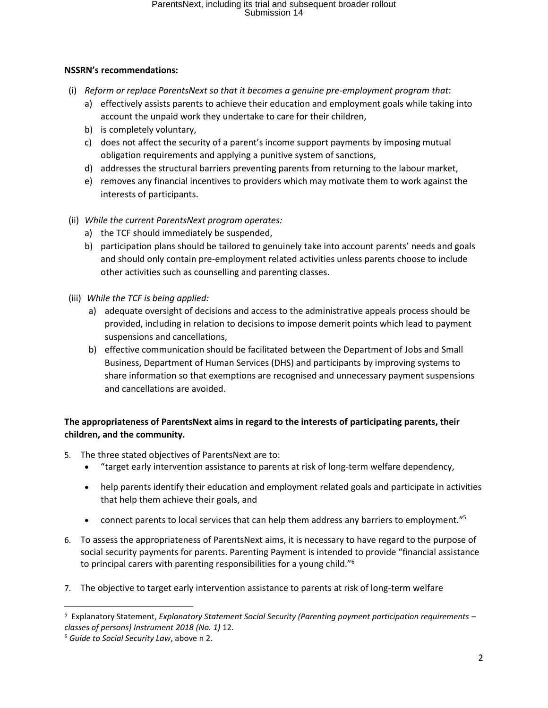#### **NSSRN's recommendations:**

- (i) *Reform or replace ParentsNext so that it becomes a genuine pre-employment program that*:
	- a) effectively assists parents to achieve their education and employment goals while taking into account the unpaid work they undertake to care for their children,
	- b) is completely voluntary,
	- c) does not affect the security of a parent's income support payments by imposing mutual obligation requirements and applying a punitive system of sanctions,
	- d) addresses the structural barriers preventing parents from returning to the labour market,
	- e) removes any financial incentives to providers which may motivate them to work against the interests of participants.
- (ii) *While the current ParentsNext program operates:*
	- a) the TCF should immediately be suspended,
	- b) participation plans should be tailored to genuinely take into account parents' needs and goals and should only contain pre-employment related activities unless parents choose to include other activities such as counselling and parenting classes.
- (iii) *While the TCF is being applied:*
	- a) adequate oversight of decisions and access to the administrative appeals process should be provided, including in relation to decisions to impose demerit points which lead to payment suspensions and cancellations,
	- b) effective communication should be facilitated between the Department of Jobs and Small Business, Department of Human Services (DHS) and participants by improving systems to share information so that exemptions are recognised and unnecessary payment suspensions and cancellations are avoided.

### **The appropriateness of ParentsNext aims in regard to the interests of participating parents, their children, and the community.**

- 5. The three stated objectives of ParentsNext are to:
	- "target early intervention assistance to parents at risk of long-term welfare dependency,
	- help parents identify their education and employment related goals and participate in activities that help them achieve their goals, and
	- connect parents to local services that can help them address any barriers to employment."<sup>5</sup>
- 6. To assess the appropriateness of ParentsNext aims, it is necessary to have regard to the purpose of social security payments for parents. Parenting Payment is intended to provide "financial assistance to principal carers with parenting responsibilities for a young child."<sup>6</sup>
- 7. The objective to target early intervention assistance to parents at risk of long-term welfare

 $\overline{a}$ 

<sup>5</sup> Explanatory Statement, *Explanatory Statement Social Security (Parenting payment participation requirements – classes of persons) Instrument 2018 (No. 1)* 12.

<sup>6</sup> *Guide to Social Security Law*, above n 2.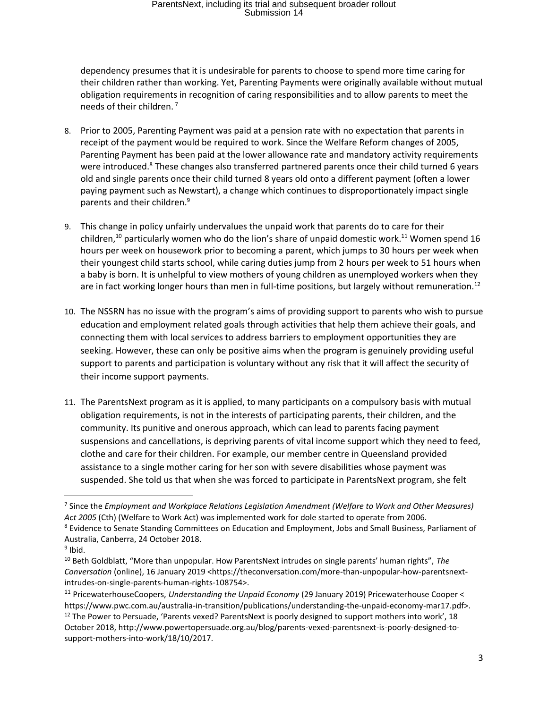dependency presumes that it is undesirable for parents to choose to spend more time caring for their children rather than working. Yet, Parenting Payments were originally available without mutual obligation requirements in recognition of caring responsibilities and to allow parents to meet the needs of their children.<sup>7</sup>

- 8. Prior to 2005, Parenting Payment was paid at a pension rate with no expectation that parents in receipt of the payment would be required to work. Since the Welfare Reform changes of 2005, Parenting Payment has been paid at the lower allowance rate and mandatory activity requirements were introduced.<sup>8</sup> These changes also transferred partnered parents once their child turned 6 years old and single parents once their child turned 8 years old onto a different payment (often a lower paying payment such as Newstart), a change which continues to disproportionately impact single parents and their children.<sup>9</sup>
- 9. This change in policy unfairly undervalues the unpaid work that parents do to care for their children,<sup>10</sup> particularly women who do the lion's share of unpaid domestic work.<sup>11</sup> Women spend 16 hours per week on housework prior to becoming a parent, which jumps to 30 hours per week when their youngest child starts school, while caring duties jump from 2 hours per week to 51 hours when a baby is born. It is unhelpful to view mothers of young children as unemployed workers when they are in fact working longer hours than men in full-time positions, but largely without remuneration.<sup>12</sup>
- 10. The NSSRN has no issue with the program's aims of providing support to parents who wish to pursue education and employment related goals through activities that help them achieve their goals, and connecting them with local services to address barriers to employment opportunities they are seeking. However, these can only be positive aims when the program is genuinely providing useful support to parents and participation is voluntary without any risk that it will affect the security of their income support payments.
- 11. The ParentsNext program as it is applied, to many participants on a compulsory basis with mutual obligation requirements, is not in the interests of participating parents, their children, and the community. Its punitive and onerous approach, which can lead to parents facing payment suspensions and cancellations, is depriving parents of vital income support which they need to feed, clothe and care for their children. For example, our member centre in Queensland provided assistance to a single mother caring for her son with severe disabilities whose payment was suspended. She told us that when she was forced to participate in ParentsNext program, she felt

<sup>7</sup> Since the *Employment and Workplace Relations Legislation Amendment (Welfare to Work and Other Measures) Act 2005* (Cth) (Welfare to Work Act) was implemented work for dole started to operate from 2006. <sup>8</sup> Evidence to Senate Standing Committees on Education and Employment, Jobs and Small Business, Parliament of

Australia, Canberra, 24 October 2018.

<sup>&</sup>lt;sup>9</sup> Ibid.

<sup>10</sup> Beth Goldblatt, "More than unpopular. How ParentsNext intrudes on single parents' human rights", *The Conversation* (online), 16 January 2019 <https://theconversation.com/more-than-unpopular-how-parentsnextintrudes-on-single-parents-human-rights-108754>.

<sup>11</sup> PricewaterhouseCoopers, *Understanding the Unpaid Economy* (29 January 2019) Pricewaterhouse Cooper < [https://www.pwc.com.au/australia-in-transition/publications/understanding-the-unpaid-economy-mar17.pdf>](https://www.pwc.com.au/australia-in-transition/publications/understanding-the-unpaid-economy-mar17.pdf).  $12$  The Power to Persuade, 'Parents vexed? ParentsNext is poorly designed to support mothers into work', 18 October 2018[, http://www.powertopersuade.org.au/blog/parents-vexed-parentsnext-is-poorly-designed-to](http://www.powertopersuade.org.au/blog/parents-vexed-parentsnext-is-poorly-designed-to-support-mothers-into-work/18/10/2017)[support-mothers-into-work/18/10/2017.](http://www.powertopersuade.org.au/blog/parents-vexed-parentsnext-is-poorly-designed-to-support-mothers-into-work/18/10/2017)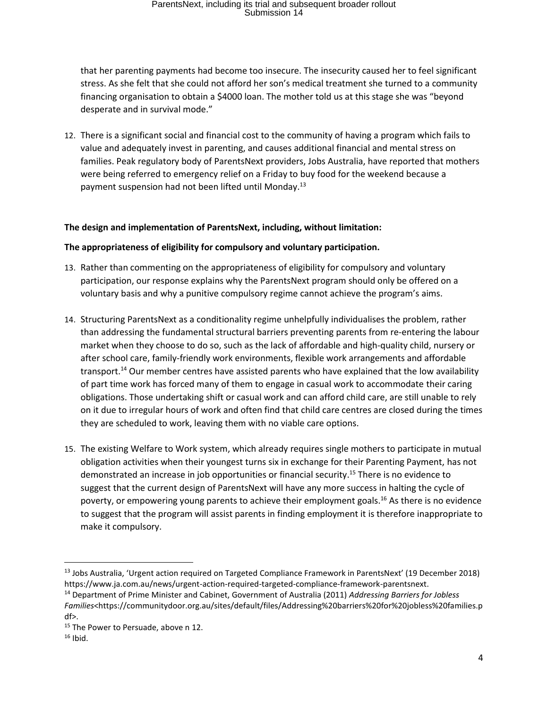that her parenting payments had become too insecure. The insecurity caused her to feel significant stress. As she felt that she could not afford her son's medical treatment she turned to a community financing organisation to obtain a \$4000 loan. The mother told us at this stage she was "beyond desperate and in survival mode."

12. There is a significant social and financial cost to the community of having a program which fails to value and adequately invest in parenting, and causes additional financial and mental stress on families. Peak regulatory body of ParentsNext providers, Jobs Australia, have reported that mothers were being referred to emergency relief on a Friday to buy food for the weekend because a payment suspension had not been lifted until Monday.<sup>13</sup>

#### **The design and implementation of ParentsNext, including, without limitation:**

#### **The appropriateness of eligibility for compulsory and voluntary participation.**

- 13. Rather than commenting on the appropriateness of eligibility for compulsory and voluntary participation, our response explains why the ParentsNext program should only be offered on a voluntary basis and why a punitive compulsory regime cannot achieve the program's aims.
- 14. Structuring ParentsNext as a conditionality regime unhelpfully individualises the problem, rather than addressing the fundamental structural barriers preventing parents from re-entering the labour market when they choose to do so, such as the lack of affordable and high-quality child, nursery or after school care, family-friendly work environments, flexible work arrangements and affordable transport.<sup>14</sup> Our member centres have assisted parents who have explained that the low availability of part time work has forced many of them to engage in casual work to accommodate their caring obligations. Those undertaking shift or casual work and can afford child care, are still unable to rely on it due to irregular hours of work and often find that child care centres are closed during the times they are scheduled to work, leaving them with no viable care options.
- 15. The existing Welfare to Work system, which already [requires single mothers to participate in mutual](http://www.powertopersuade.org.au/blog/weighing-the-cost-of-welfare-to-work-implementation/13/12/2016)  [obligation activities](http://www.powertopersuade.org.au/blog/weighing-the-cost-of-welfare-to-work-implementation/13/12/2016) when their youngest turns six in exchange for their Parenting Payment, [has not](http://www.acoss.org.au/media-releases/?media_release=child-poverty-crisis-hits-single-parent-families)  [demonstrated an increase in job opportunities or financial security.](http://www.acoss.org.au/media-releases/?media_release=child-poverty-crisis-hits-single-parent-families) <sup>15</sup> There is no evidence to suggest that the current design of ParentsNext will have any more success in halting the cycle of poverty, or empowering young parents to achieve their employment goals.<sup>16</sup> As there is no evidence to suggest that the program will assist parents in finding employment it is therefore inappropriate to make it compulsory.

<sup>13</sup> Jobs Australia, 'Urgent action required on Targeted Compliance Framework in ParentsNext' (19 December 2018) [https://www.ja.com.au/news/urgent-action-required-targeted-compliance-framework-parentsnext.](https://www.ja.com.au/news/urgent-action-required-targeted-compliance-framework-parentsnext)

<sup>14</sup> Department of Prime Minister and Cabinet, Government of Australia (2011) *Addressing Barriers for Jobless Families*<https://communitydoor.org.au/sites/default/files/Addressing%20barriers%20for%20jobless%20families.p df>.

<sup>&</sup>lt;sup>15</sup> The Power to Persuade, above n 12.

 $16$  Ibid.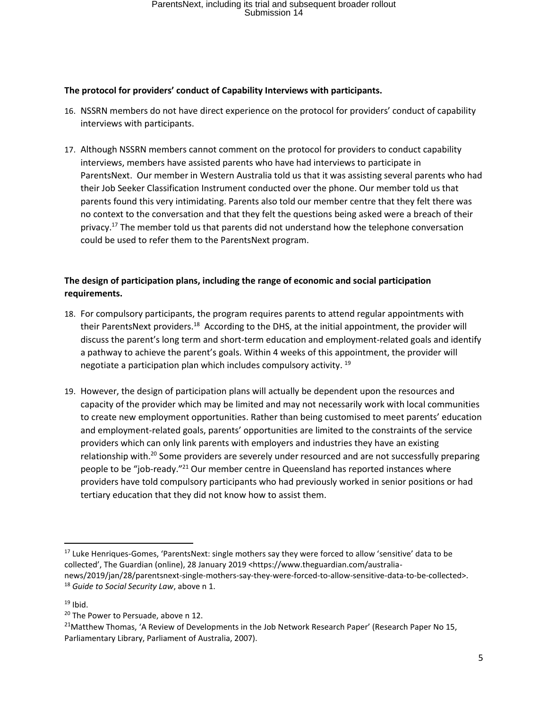#### **The protocol for providers' conduct of Capability Interviews with participants.**

- 16. NSSRN members do not have direct experience on the protocol for providers' conduct of capability interviews with participants.
- 17. Although NSSRN members cannot comment on the protocol for providers to conduct capability interviews, members have assisted parents who have had interviews to participate in ParentsNext. Our member in Western Australia told us that it was assisting several parents who had their Job Seeker Classification Instrument conducted over the phone. Our member told us that parents found this very intimidating. Parents also told our member centre that they felt there was no context to the conversation and that they felt the questions being asked were a breach of their privacy.<sup>17</sup> The member told us that parents did not understand how the telephone conversation could be used to refer them to the ParentsNext program.

## **The design of participation plans, including the range of economic and social participation requirements.**

- 18. For compulsory participants, the program requires parents to attend regular appointments with their ParentsNext providers.<sup>18</sup> According to the DHS, at the initial appointment, the provider will discuss the parent's long term and short-term education and employment-related goals and identify a pathway to achieve the parent's goals. Within 4 weeks of this appointment, the provider will negotiate a participation plan which includes compulsory activity. <sup>19</sup>
- 19. However, the design of participation plans will actually be dependent upon the resources and capacity of the provider which may be limited and may not necessarily work with local communities to create new employment opportunities. Rather than being customised to meet parents' education and employment-related goals, parents' opportunities are limited to the constraints of the service providers which can only link parents with employers and industries they have an existing relationship with.<sup>20</sup> Some providers are severely under resourced and are not successfully preparing people to be "job-ready."<sup>21</sup> Our member centre in Queensland has reported instances where providers have told compulsory participants who had previously worked in senior positions or had tertiary education that they did not know how to assist them.

<sup>&</sup>lt;sup>17</sup> Luke Henriques-Gomes, 'ParentsNext: single mothers say they were forced to allow 'sensitive' data to be collected', The Guardian (online), 28 January 2019 <https://www.theguardian.com/australianews/2019/jan/28/parentsnext-single-mothers-say-they-were-forced-to-allow-sensitive-data-to-be-collected>. <sup>18</sup> *Guide to Social Security Law*, above n 1.

 $19$  Ibid.

<sup>&</sup>lt;sup>20</sup> The Power to Persuade, above n 12.

<sup>&</sup>lt;sup>21</sup>Matthew Thomas, 'A Review of Developments in the Job Network Research Paper' (Research Paper No 15, Parliamentary Library, Parliament of Australia, 2007).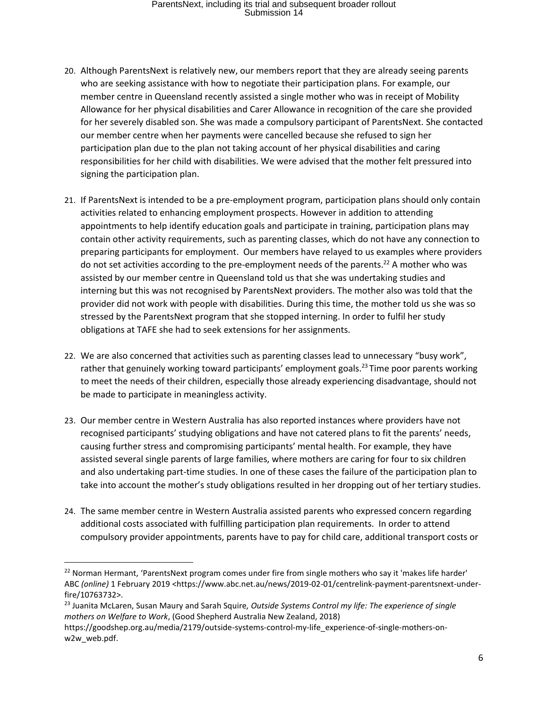- 20. Although ParentsNext is relatively new, our members report that they are already seeing parents who are seeking assistance with how to negotiate their participation plans. For example, our member centre in Queensland recently assisted a single mother who was in receipt of Mobility Allowance for her physical disabilities and Carer Allowance in recognition of the care she provided for her severely disabled son. She was made a compulsory participant of ParentsNext. She contacted our member centre when her payments were cancelled because she refused to sign her participation plan due to the plan not taking account of her physical disabilities and caring responsibilities for her child with disabilities. We were advised that the mother felt pressured into signing the participation plan.
- 21. If ParentsNext is intended to be a pre-employment program, participation plans should only contain activities related to enhancing employment prospects. However in addition to attending appointments to help identify education goals and participate in training, participation plans may contain other activity requirements, such as parenting classes, which do not have any connection to preparing participants for employment. Our members have relayed to us examples where providers do not set activities according to the pre-employment needs of the parents.<sup>22</sup> A mother who was assisted by our member centre in Queensland told us that she was undertaking studies and interning but this was not recognised by ParentsNext providers. The mother also was told that the provider did not work with people with disabilities. During this time, the mother told us she was so stressed by the ParentsNext program that she stopped interning. In order to fulfil her study obligations at TAFE she had to seek extensions for her assignments.
- 22. We are also concerned that activities such as parenting classes lead to unnecessary "busy work", rather that genuinely working toward participants' employment goals.<sup>23</sup> Time poor parents working to meet the needs of their children, especially those already experiencing disadvantage, should not be made to participate in meaningless activity.
- 23. Our member centre in Western Australia has also reported instances where providers have not recognised participants' studying obligations and have not catered plans to fit the parents' needs, causing further stress and compromising participants' mental health. For example, they have assisted several single parents of large families, where mothers are caring for four to six children and also undertaking part-time studies. In one of these cases the failure of the participation plan to take into account the mother's study obligations resulted in her dropping out of her tertiary studies.
- 24. The same member centre in Western Australia assisted parents who expressed concern regarding additional costs associated with fulfilling participation plan requirements. In order to attend compulsory provider appointments, parents have to pay for child care, additional transport costs or

<sup>23</sup> Juanita McLaren, Susan Maury and Sarah Squire*, Outside Systems Control my life: The experience of single mothers on Welfare to Work*, (Good Shepherd Australia New Zealand, 2018)

<sup>&</sup>lt;sup>22</sup> Norman Hermant, 'ParentsNext program comes under fire from single mothers who say it 'makes life harder' ABC *(online)* 1 February 2019 [<https://www.abc.net.au/news/2019-02-01/centrelink-payment-parentsnext-under](https://www.abc.net.au/news/2019-02-01/centrelink-payment-parentsnext-under-fire/10763732)[fire/10763732>](https://www.abc.net.au/news/2019-02-01/centrelink-payment-parentsnext-under-fire/10763732).

[https://goodshep.org.au/media/2179/outside-systems-control-my-life\\_experience-of-single-mothers-on](https://goodshep.org.au/media/2179/outside-systems-control-my-life_experience-of-single-mothers-on-w2w_web.pdf)[w2w\\_web.pdf.](https://goodshep.org.au/media/2179/outside-systems-control-my-life_experience-of-single-mothers-on-w2w_web.pdf)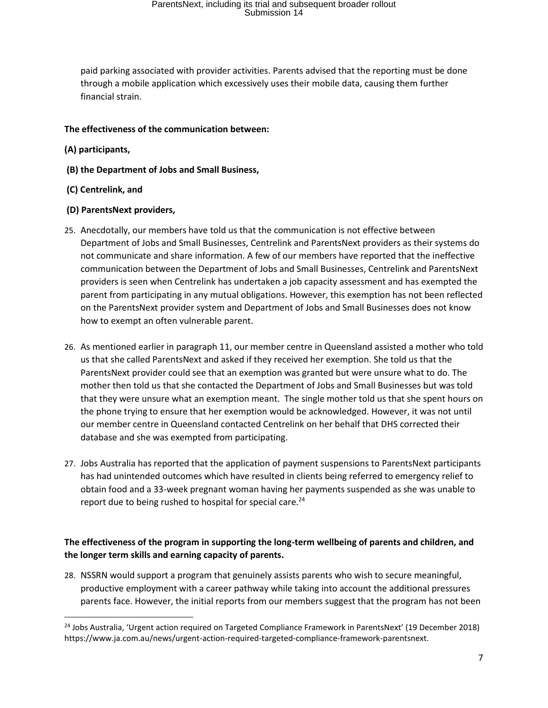paid parking associated with provider activities. Parents advised that the reporting must be done through a mobile application which excessively uses their mobile data, causing them further financial strain.

#### **The effectiveness of the communication between:**

- **(A) participants,**
- **(B) the Department of Jobs and Small Business,**
- **(C) Centrelink, and**
- **(D) ParentsNext providers,**
- 25. Anecdotally, our members have told us that the communication is not effective between Department of Jobs and Small Businesses, Centrelink and ParentsNext providers as their systems do not communicate and share information. A few of our members have reported that the ineffective communication between the Department of Jobs and Small Businesses, Centrelink and ParentsNext providers is seen when Centrelink has undertaken a job capacity assessment and has exempted the parent from participating in any mutual obligations. However, this exemption has not been reflected on the ParentsNext provider system and Department of Jobs and Small Businesses does not know how to exempt an often vulnerable parent.
- 26. As mentioned earlier in paragraph 11, our member centre in Queensland assisted a mother who told us that she called ParentsNext and asked if they received her exemption. She told us that the ParentsNext provider could see that an exemption was granted but were unsure what to do. The mother then told us that she contacted the Department of Jobs and Small Businesses but was told that they were unsure what an exemption meant. The single mother told us that she spent hours on the phone trying to ensure that her exemption would be acknowledged. However, it was not until our member centre in Queensland contacted Centrelink on her behalf that DHS corrected their database and she was exempted from participating.
- 27. Jobs Australia has reported that the application of payment suspensions to ParentsNext participants has had unintended outcomes which have resulted in clients being referred to emergency relief to obtain food and a 33-week pregnant woman having her payments suspended as she was unable to report due to being rushed to hospital for special care.<sup>24</sup>

### **The effectiveness of the program in supporting the long-term wellbeing of parents and children, and the longer term skills and earning capacity of parents.**

28. NSSRN would support a program that genuinely assists parents who wish to secure meaningful, productive employment with a career pathway while taking into account the additional pressures parents face. However, the initial reports from our members suggest that the program has not been

 $\overline{\phantom{a}}$ <sup>24</sup> Jobs Australia, 'Urgent action required on Targeted Compliance Framework in ParentsNext' (19 December 2018) [https://www.ja.com.au/news/urgent-action-required-targeted-compliance-framework-parentsnext.](https://www.ja.com.au/news/urgent-action-required-targeted-compliance-framework-parentsnext)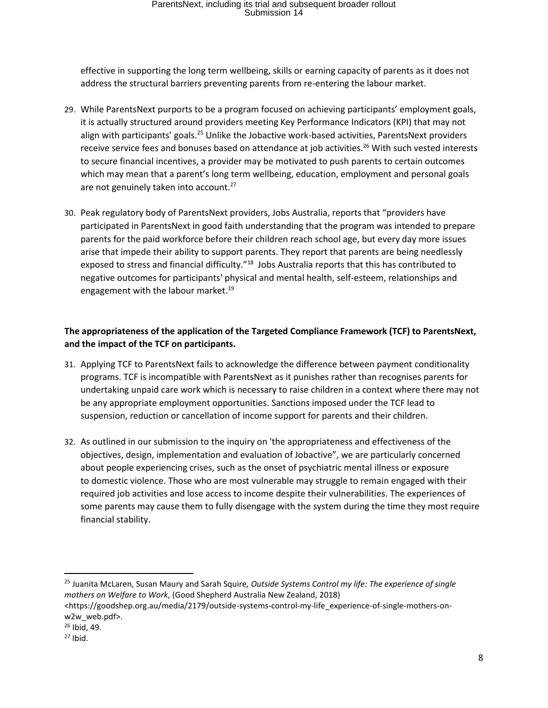effective in supporting the long term wellbeing, skills or earning capacity of parents as it does not address the structural barriers preventing parents from re-entering the labour market.

- 29. While ParentsNext purports to be a program focused on achieving participants' employment goals, it is actually structured around providers meeting Key Performance Indicators (KPI) that may not align with participants' goals.<sup>25</sup> Unlike the Jobactive work-based activities, ParentsNext providers receive service fees and bonuses based on attendance at job activities.<sup>26</sup> With such vested interests to secure financial incentives, a provider may be motivated to push parents to certain outcomes which may mean that a parent's long term wellbeing, education, employment and personal goals are not genuinely taken into account.<sup>27</sup>
- 30. Peak regulatory body of ParentsNext providers, Jobs Australia, reports that "providers have participated in ParentsNext in good faith understanding that the program was intended to prepare parents for the paid workforce before their children reach school age, but every day more issues arise that impede their ability to support parents. They report that parents are being needlessly exposed to stress and financial difficulty."<sup>18</sup> Jobs Australia reports that this has contributed to negative outcomes for participants' physical and mental health, self-esteem, relationships and engagement with the labour market.<sup>19</sup>

## **The appropriateness of the application of the Targeted Compliance Framework (TCF) to ParentsNext, and the impact of the TCF on participants.**

- 31. Applying TCF to ParentsNext fails to acknowledge the difference between payment conditionality programs. TCF is incompatible with ParentsNext as it punishes rather than recognises parents for undertaking unpaid care work which is necessary to raise children in a context where there may not be any appropriate employment opportunities. Sanctions imposed under the TCF lead to suspension, reduction or cancellation of income support for parents and their children.
- 32. As outlined in our submission to the inquiry on 'the appropriateness and effectiveness of the objectives, design, implementation and evaluation of Jobactive", we are particularly concerned about people experiencing crises, such as the onset of psychiatric mental illness or exposure to domestic violence. Those who are most vulnerable may struggle to remain engaged with their required job activities and lose access to income despite their vulnerabilities. The experiences of some parents may cause them to fully disengage with the system during the time they most require financial stability.

l

<sup>25</sup> Juanita McLaren, Susan Maury and Sarah Squire*, Outside Systems Control my life: The experience of single mothers on Welfare to Work*, (Good Shepherd Australia New Zealand, 2018)

[<sup>&</sup>lt;https://goodshep.org.au/media/2179/outside-systems-control-my-life\\_experience-of-single-mothers-on](https://goodshep.org.au/media/2179/outside-systems-control-my-life_experience-of-single-mothers-on-w2w_web.pdf)[w2w\\_web.pdf>](https://goodshep.org.au/media/2179/outside-systems-control-my-life_experience-of-single-mothers-on-w2w_web.pdf).

 $26$  Ibid, 49.

 $27$  Ibid.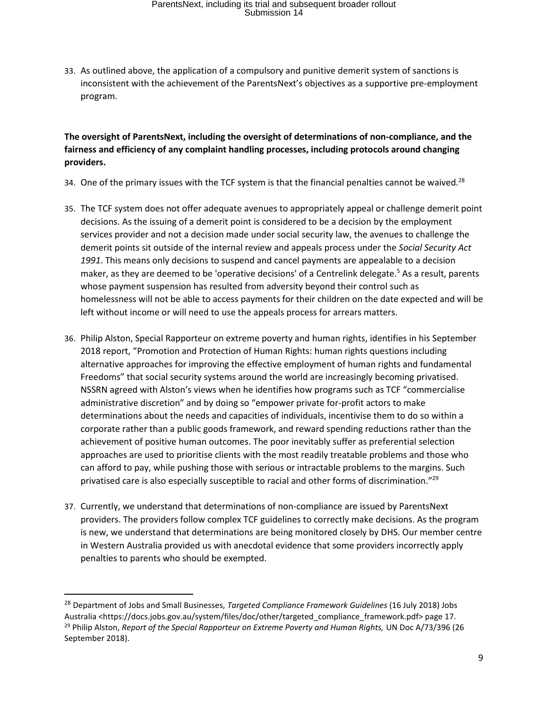33. As outlined above, the application of a compulsory and punitive demerit system of sanctions is inconsistent with the achievement of the ParentsNext's objectives as a supportive pre-employment program.

### **The oversight of ParentsNext, including the oversight of determinations of non-compliance, and the fairness and efficiency of any complaint handling processes, including protocols around changing providers.**

- 34. One of the primary issues with the TCF system is that the financial penalties cannot be waived.<sup>28</sup>
- 35. The TCF system does not offer adequate avenues to appropriately appeal or challenge demerit point decisions. As the issuing of a demerit point is considered to be a decision by the employment services provider and not a decision made under social security law, the avenues to challenge the demerit points sit outside of the internal review and appeals process under the *Social Security Act 1991*. This means only decisions to suspend and cancel payments are appealable to a decision maker, as they are deemed to be 'operative decisions' of a Centrelink delegate.<sup>5</sup> As a result, parents whose payment suspension has resulted from adversity beyond their control such as homelessness will not be able to access payments for their children on the date expected and will be left without income or will need to use the appeals process for arrears matters.
- 36. Philip Alston, Special Rapporteur on extreme poverty and human rights, identifies in his September 2018 report, "Promotion and Protection of Human Rights: human rights questions including alternative approaches for improving the effective employment of human rights and fundamental Freedoms" that social security systems around the world are increasingly becoming privatised. NSSRN agreed with Alston's views when he identifies how programs such as TCF "commercialise administrative discretion" and by doing so "empower private for-profit actors to make determinations about the needs and capacities of individuals, incentivise them to do so within a corporate rather than a public goods framework, and reward spending reductions rather than the achievement of positive human outcomes. The poor inevitably suffer as preferential selection approaches are used to prioritise clients with the most readily treatable problems and those who can afford to pay, while pushing those with serious or intractable problems to the margins. Such privatised care is also especially susceptible to racial and other forms of discrimination."<sup>29</sup>
- 37. Currently, we understand that determinations of non-compliance are issued by ParentsNext providers. The providers follow complex TCF guidelines to correctly make decisions. As the program is new, we understand that determinations are being monitored closely by DHS. Our member centre in Western Australia provided us with anecdotal evidence that some providers incorrectly apply penalties to parents who should be exempted.

 $\overline{a}$ 

<sup>28</sup> Department of Jobs and Small Businesses, *Targeted Compliance Framework Guidelines* (16 July 2018) Jobs Australia <https://docs.jobs.gov.au/system/files/doc/other/targeted\_compliance\_framework.pdf> page 17. <sup>29</sup> Philip Alston, *Report of the Special Rapporteur on Extreme Poverty and Human Rights, UN Doc A/73/396 (26* September 2018).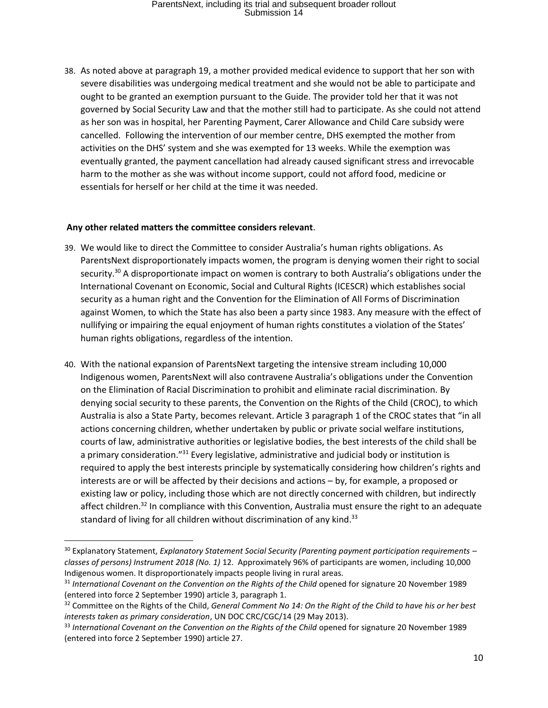38. As noted above at paragraph 19, a mother provided medical evidence to support that her son with severe disabilities was undergoing medical treatment and she would not be able to participate and ought to be granted an exemption pursuant to the Guide. The provider told her that it was not governed by Social Security Law and that the mother still had to participate. As she could not attend as her son was in hospital, her Parenting Payment, Carer Allowance and Child Care subsidy were cancelled. Following the intervention of our member centre, DHS exempted the mother from activities on the DHS' system and she was exempted for 13 weeks. While the exemption was eventually granted, the payment cancellation had already caused significant stress and irrevocable harm to the mother as she was without income support, could not afford food, medicine or essentials for herself or her child at the time it was needed.

#### **Any other related matters the committee considers relevant**.

- 39. We would like to direct the Committee to consider Australia's human rights obligations. As ParentsNext disproportionately impacts women, the program is denying women their right to social security.<sup>30</sup> A disproportionate impact on women is contrary to both Australia's obligations under the [International Covenant on Economic, Social and Cultural Rights](https://www.ohchr.org/en/professionalinterest/pages/cescr.aspx) (ICESCR) which establishes social security as a human right and the Convention for the Elimination of All Forms of Discrimination against Women, to which the State has also been a party since 1983. Any measure with the effect of nullifying or impairing the equal enjoyment of human rights constitutes a violation of the States' human rights obligations, regardless of the intention.
- 40. With the national expansion of ParentsNext targeting the intensive stream including 10,000 Indigenous women, ParentsNext will also contravene Australia's obligations under the Convention on the Elimination of Racial Discrimination to prohibit and eliminate racial discrimination. By denying social security to these parents, the Convention on the Rights of the Child (CROC), to which Australia is also a State Party, becomes relevant. Article 3 paragraph 1 of the CROC states that "in all actions concerning children, whether undertaken by public or private social welfare institutions, courts of law, administrative authorities or legislative bodies, the best interests of the child shall be a primary consideration."<sup>31</sup> Every legislative, administrative and judicial body or institution is required to apply the best interests principle by systematically considering how children's rights and interests are or will be affected by their decisions and actions – by, for example, a proposed or existing law or policy, including those which are not directly concerned with children, but indirectly affect children.<sup>32</sup> In compliance with this Convention, Australia must ensure the right to an adequate standard of living for all children without discrimination of any kind.<sup>33</sup>

<sup>30</sup> Explanatory Statement, *Explanatory Statement Social Security (Parenting payment participation requirements – classes of persons) Instrument 2018 (No. 1)* 12. Approximately 96% of participants are women, including 10,000 Indigenous women. It disproportionately impacts people living in rural areas.

<sup>&</sup>lt;sup>31</sup> International Covenant on the Convention on the Rights of the Child opened for signature 20 November 1989 (entered into force 2 September 1990) article 3, paragraph 1.

<sup>32</sup> Committee on the Rights of the Child, *General Comment No 14: On the Right of the Child to have his or her best interests taken as primary consideration*, UN DOC CRC/CGC/14 (29 May 2013).

<sup>&</sup>lt;sup>33</sup> International Covenant on the Convention on the Rights of the Child opened for signature 20 November 1989 (entered into force 2 September 1990) article 27.